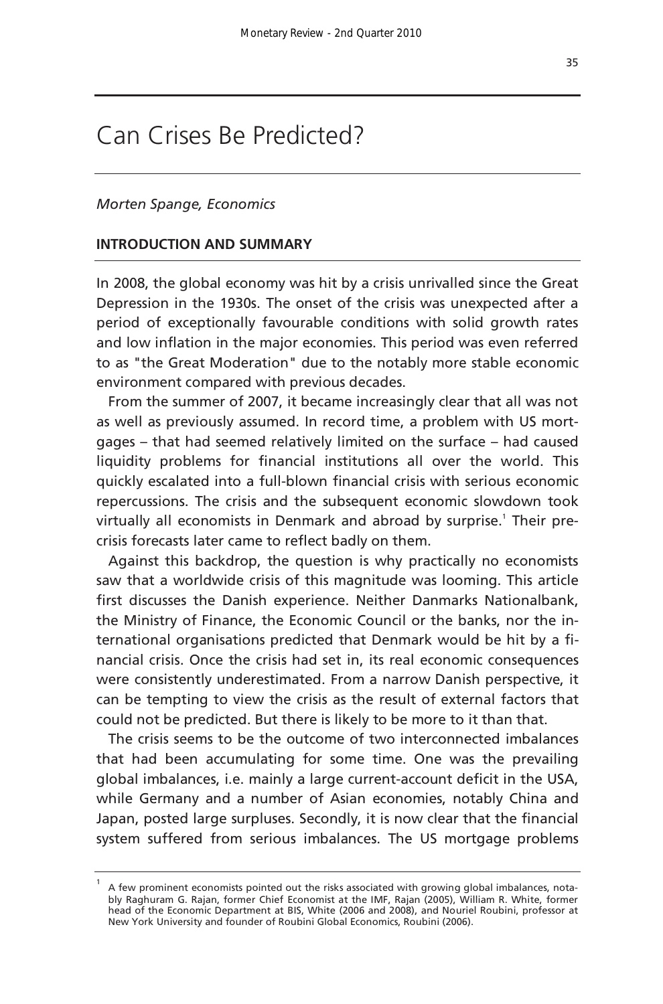# Can Crises Be Predicted?

### *Morten Spange, Economics*

### **INTRODUCTION AND SUMMARY**

In 2008, the global economy was hit by a crisis unrivalled since the Great Depression in the 1930s. The onset of the crisis was unexpected after a period of exceptionally favourable conditions with solid growth rates and low inflation in the major economies. This period was even referred to as "the Great Moderation" due to the notably more stable economic environment compared with previous decades.

From the summer of 2007, it became increasingly clear that all was not as well as previously assumed. In record time, a problem with US mortgages – that had seemed relatively limited on the surface – had caused liquidity problems for financial institutions all over the world. This quickly escalated into a full-blown financial crisis with serious economic repercussions. The crisis and the subsequent economic slowdown took virtually all economists in Denmark and abroad by surprise.<sup>1</sup> Their precrisis forecasts later came to reflect badly on them.

Against this backdrop, the question is why practically no economists saw that a worldwide crisis of this magnitude was looming. This article first discusses the Danish experience. Neither Danmarks Nationalbank, the Ministry of Finance, the Economic Council or the banks, nor the international organisations predicted that Denmark would be hit by a financial crisis. Once the crisis had set in, its real economic consequences were consistently underestimated. From a narrow Danish perspective, it can be tempting to view the crisis as the result of external factors that could not be predicted. But there is likely to be more to it than that.

The crisis seems to be the outcome of two interconnected imbalances that had been accumulating for some time. One was the prevailing global imbalances, i.e. mainly a large current-account deficit in the USA, while Germany and a number of Asian economies, notably China and Japan, posted large surpluses. Secondly, it is now clear that the financial system suffered from serious imbalances. The US mortgage problems

<sup>1</sup> A few prominent economists pointed out the risks associated with growing global imbalances, notably Raghuram G. Rajan, former Chief Economist at the IMF, Rajan (2005), William R. White, former head of the Economic Department at BIS, White (2006 and 2008), and Nouriel Roubini, professor at New York University and founder of Roubini Global Economics, Roubini (2006).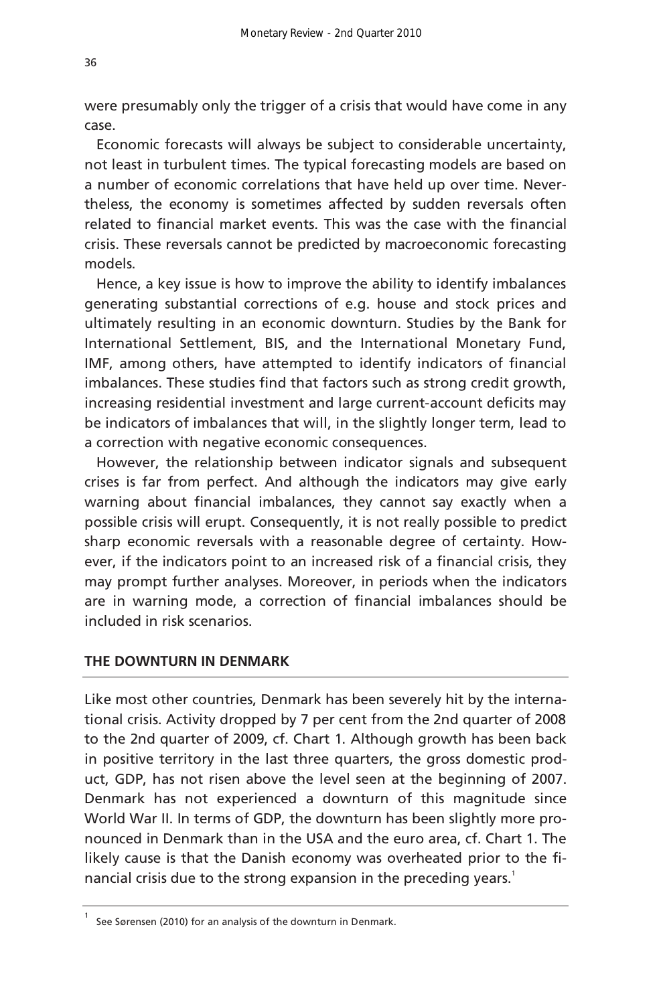were presumably only the trigger of a crisis that would have come in any case.

Economic forecasts will always be subject to considerable uncertainty, not least in turbulent times. The typical forecasting models are based on a number of economic correlations that have held up over time. Nevertheless, the economy is sometimes affected by sudden reversals often related to financial market events. This was the case with the financial crisis. These reversals cannot be predicted by macroeconomic forecasting models.

Hence, a key issue is how to improve the ability to identify imbalances generating substantial corrections of e.g. house and stock prices and ultimately resulting in an economic downturn. Studies by the Bank for International Settlement, BIS, and the International Monetary Fund, IMF, among others, have attempted to identify indicators of financial imbalances. These studies find that factors such as strong credit growth, increasing residential investment and large current-account deficits may be indicators of imbalances that will, in the slightly longer term, lead to a correction with negative economic consequences.

However, the relationship between indicator signals and subsequent crises is far from perfect. And although the indicators may give early warning about financial imbalances, they cannot say exactly when a possible crisis will erupt. Consequently, it is not really possible to predict sharp economic reversals with a reasonable degree of certainty. However, if the indicators point to an increased risk of a financial crisis, they may prompt further analyses. Moreover, in periods when the indicators are in warning mode, a correction of financial imbalances should be included in risk scenarios.

# **THE DOWNTURN IN DENMARK**

Like most other countries, Denmark has been severely hit by the international crisis. Activity dropped by 7 per cent from the 2nd quarter of 2008 to the 2nd quarter of 2009, cf. Chart 1. Although growth has been back in positive territory in the last three quarters, the gross domestic product, GDP, has not risen above the level seen at the beginning of 2007. Denmark has not experienced a downturn of this magnitude since World War II. In terms of GDP, the downturn has been slightly more pronounced in Denmark than in the USA and the euro area, cf. Chart 1. The likely cause is that the Danish economy was overheated prior to the financial crisis due to the strong expansion in the preceding years.<sup>1</sup>

<sup>1</sup> See Sørensen (2010) for an analysis of the downturn in Denmark.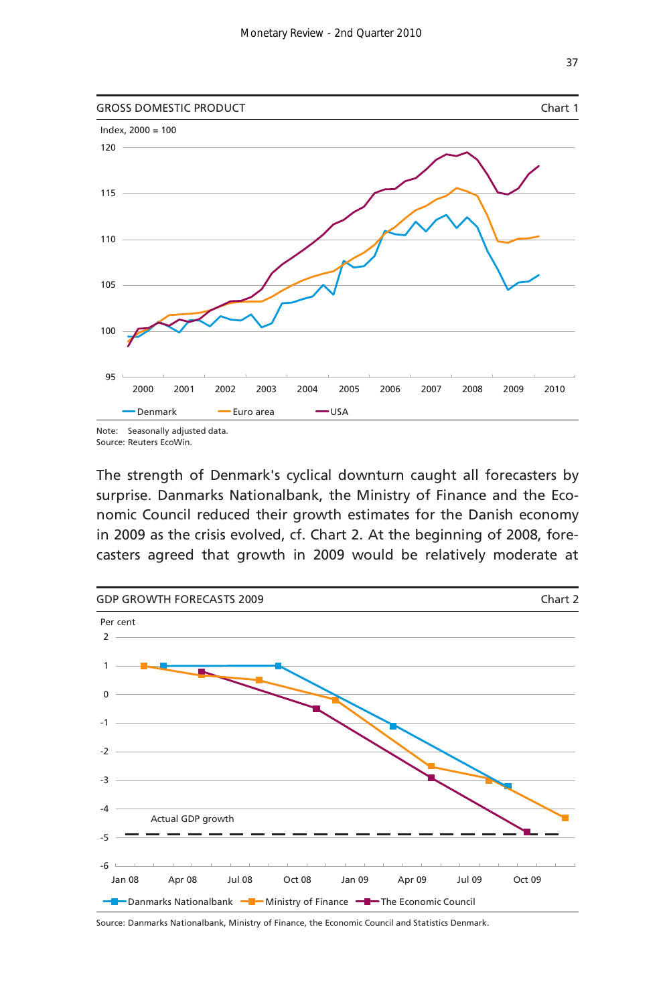

Source: Reuters EcoWin.

The strength of Denmark's cyclical downturn caught all forecasters by surprise. Danmarks Nationalbank, the Ministry of Finance and the Economic Council reduced their growth estimates for the Danish economy in 2009 as the crisis evolved, cf. Chart 2. At the beginning of 2008, forecasters agreed that growth in 2009 would be relatively moderate at



Source: Danmarks Nationalbank, Ministry of Finance, the Economic Council and Statistics Denmark.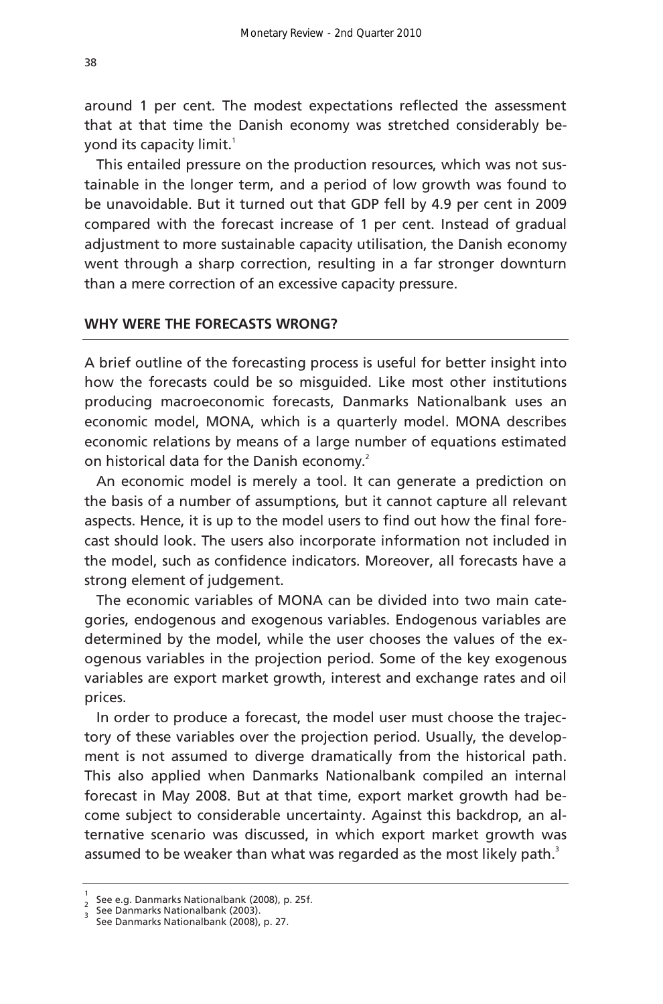around 1 per cent. The modest expectations reflected the assessment that at that time the Danish economy was stretched considerably beyond its capacity limit.<sup>1</sup>

This entailed pressure on the production resources, which was not sustainable in the longer term, and a period of low growth was found to be unavoidable. But it turned out that GDP fell by 4.9 per cent in 2009 compared with the forecast increase of 1 per cent. Instead of gradual adjustment to more sustainable capacity utilisation, the Danish economy went through a sharp correction, resulting in a far stronger downturn than a mere correction of an excessive capacity pressure.

# **WHY WERE THE FORECASTS WRONG?**

A brief outline of the forecasting process is useful for better insight into how the forecasts could be so misguided. Like most other institutions producing macroeconomic forecasts, Danmarks Nationalbank uses an economic model, MONA, which is a quarterly model. MONA describes economic relations by means of a large number of equations estimated on historical data for the Danish economy.<sup>2</sup>

An economic model is merely a tool. It can generate a prediction on the basis of a number of assumptions, but it cannot capture all relevant aspects. Hence, it is up to the model users to find out how the final forecast should look. The users also incorporate information not included in the model, such as confidence indicators. Moreover, all forecasts have a strong element of judgement.

The economic variables of MONA can be divided into two main categories, endogenous and exogenous variables. Endogenous variables are determined by the model, while the user chooses the values of the exogenous variables in the projection period. Some of the key exogenous variables are export market growth, interest and exchange rates and oil prices.

In order to produce a forecast, the model user must choose the trajectory of these variables over the projection period. Usually, the development is not assumed to diverge dramatically from the historical path. This also applied when Danmarks Nationalbank compiled an internal forecast in May 2008. But at that time, export market growth had become subject to considerable uncertainty. Against this backdrop, an alternative scenario was discussed, in which export market growth was assumed to be weaker than what was regarded as the most likely path.<sup>3</sup>

<sup>1</sup>  $_2$  See e.g. Danmarks Nationalbank (2008), p. 25f.

See Danmarks Nationalbank (2003).

See Danmarks Nationalbank (2008), p. 27.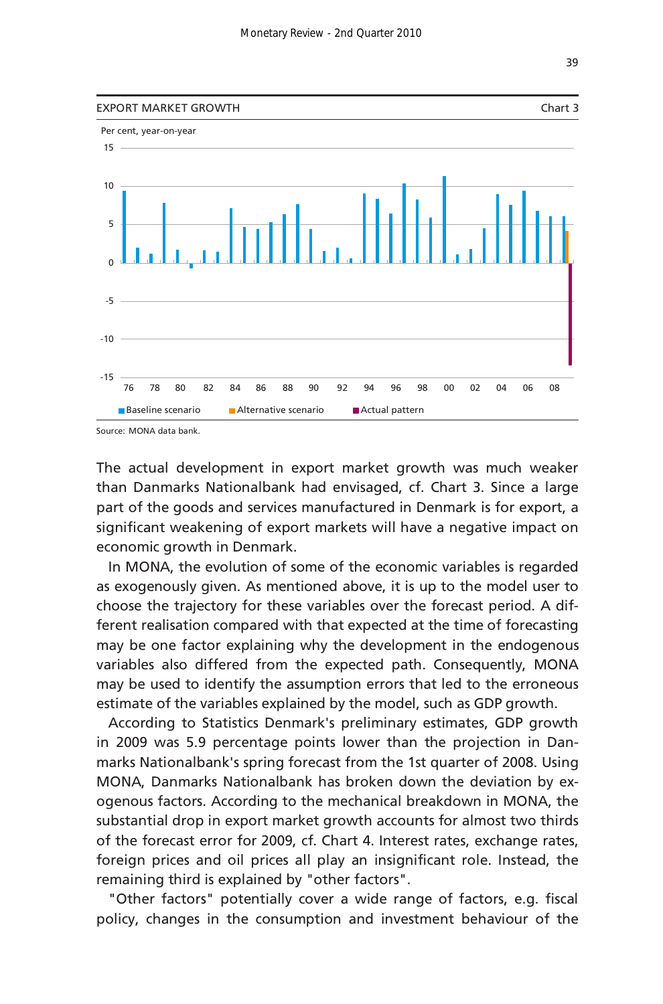

The actual development in export market growth was much weaker than Danmarks Nationalbank had envisaged, cf. Chart 3. Since a large part of the goods and services manufactured in Denmark is for export, a significant weakening of export markets will have a negative impact on economic growth in Denmark.

In MONA, the evolution of some of the economic variables is regarded as exogenously given. As mentioned above, it is up to the model user to choose the trajectory for these variables over the forecast period. A different realisation compared with that expected at the time of forecasting may be one factor explaining why the development in the endogenous variables also differed from the expected path. Consequently, MONA may be used to identify the assumption errors that led to the erroneous estimate of the variables explained by the model, such as GDP growth.

According to Statistics Denmark's preliminary estimates, GDP growth in 2009 was 5.9 percentage points lower than the projection in Danmarks Nationalbank's spring forecast from the 1st quarter of 2008. Using MONA, Danmarks Nationalbank has broken down the deviation by exogenous factors. According to the mechanical breakdown in MONA, the substantial drop in export market growth accounts for almost two thirds of the forecast error for 2009, cf. Chart 4. Interest rates, exchange rates, foreign prices and oil prices all play an insignificant role. Instead, the remaining third is explained by "other factors".

"Other factors" potentially cover a wide range of factors, e.g. fiscal policy, changes in the consumption and investment behaviour of the

39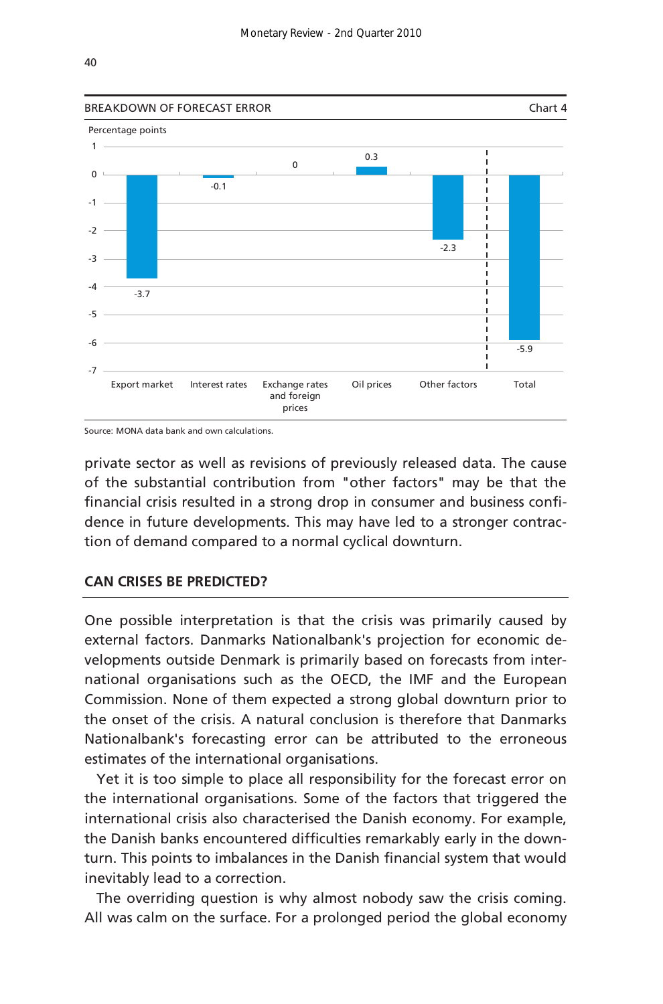

Source: MONA data bank and own calculations.

private sector as well as revisions of previously released data. The cause of the substantial contribution from "other factors" may be that the financial crisis resulted in a strong drop in consumer and business confidence in future developments. This may have led to a stronger contraction of demand compared to a normal cyclical downturn.

# **CAN CRISES BE PREDICTED?**

One possible interpretation is that the crisis was primarily caused by external factors. Danmarks Nationalbank's projection for economic developments outside Denmark is primarily based on forecasts from international organisations such as the OECD, the IMF and the European Commission. None of them expected a strong global downturn prior to the onset of the crisis. A natural conclusion is therefore that Danmarks Nationalbank's forecasting error can be attributed to the erroneous estimates of the international organisations.

Yet it is too simple to place all responsibility for the forecast error on the international organisations. Some of the factors that triggered the international crisis also characterised the Danish economy. For example, the Danish banks encountered difficulties remarkably early in the downturn. This points to imbalances in the Danish financial system that would inevitably lead to a correction.

The overriding question is why almost nobody saw the crisis coming. All was calm on the surface. For a prolonged period the global economy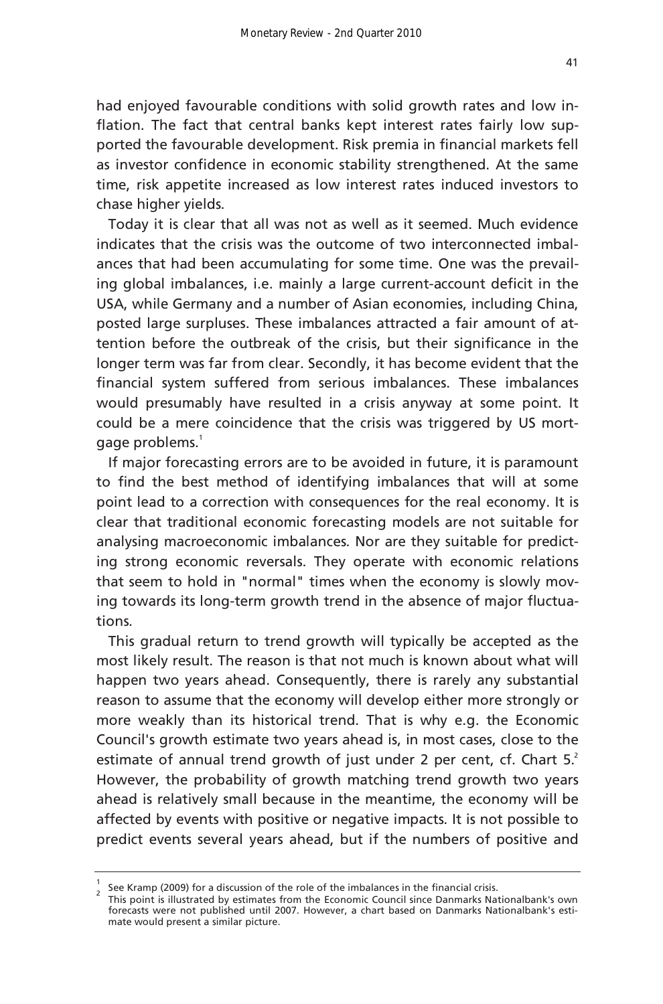had enjoyed favourable conditions with solid growth rates and low inflation. The fact that central banks kept interest rates fairly low supported the favourable development. Risk premia in financial markets fell as investor confidence in economic stability strengthened. At the same time, risk appetite increased as low interest rates induced investors to chase higher yields.

Today it is clear that all was not as well as it seemed. Much evidence indicates that the crisis was the outcome of two interconnected imbalances that had been accumulating for some time. One was the prevailing global imbalances, i.e. mainly a large current-account deficit in the USA, while Germany and a number of Asian economies, including China, posted large surpluses. These imbalances attracted a fair amount of attention before the outbreak of the crisis, but their significance in the longer term was far from clear. Secondly, it has become evident that the financial system suffered from serious imbalances. These imbalances would presumably have resulted in a crisis anyway at some point. It could be a mere coincidence that the crisis was triggered by US mortgage problems.<sup>1</sup>

If major forecasting errors are to be avoided in future, it is paramount to find the best method of identifying imbalances that will at some point lead to a correction with consequences for the real economy. It is clear that traditional economic forecasting models are not suitable for analysing macroeconomic imbalances. Nor are they suitable for predicting strong economic reversals. They operate with economic relations that seem to hold in "normal" times when the economy is slowly moving towards its long-term growth trend in the absence of major fluctuations.

This gradual return to trend growth will typically be accepted as the most likely result. The reason is that not much is known about what will happen two years ahead. Consequently, there is rarely any substantial reason to assume that the economy will develop either more strongly or more weakly than its historical trend. That is why e.g. the Economic Council's growth estimate two years ahead is, in most cases, close to the estimate of annual trend growth of just under 2 per cent, cf. Chart  $5<sup>2</sup>$ However, the probability of growth matching trend growth two years ahead is relatively small because in the meantime, the economy will be affected by events with positive or negative impacts. It is not possible to predict events several years ahead, but if the numbers of positive and

 $\frac{1}{2}$  See Kramp (2009) for a discussion of the role of the imbalances in the financial crisis.

This point is illustrated by estimates from the Economic Council since Danmarks Nationalbank's own forecasts were not published until 2007. However, a chart based on Danmarks Nationalbank's estimate would present a similar picture.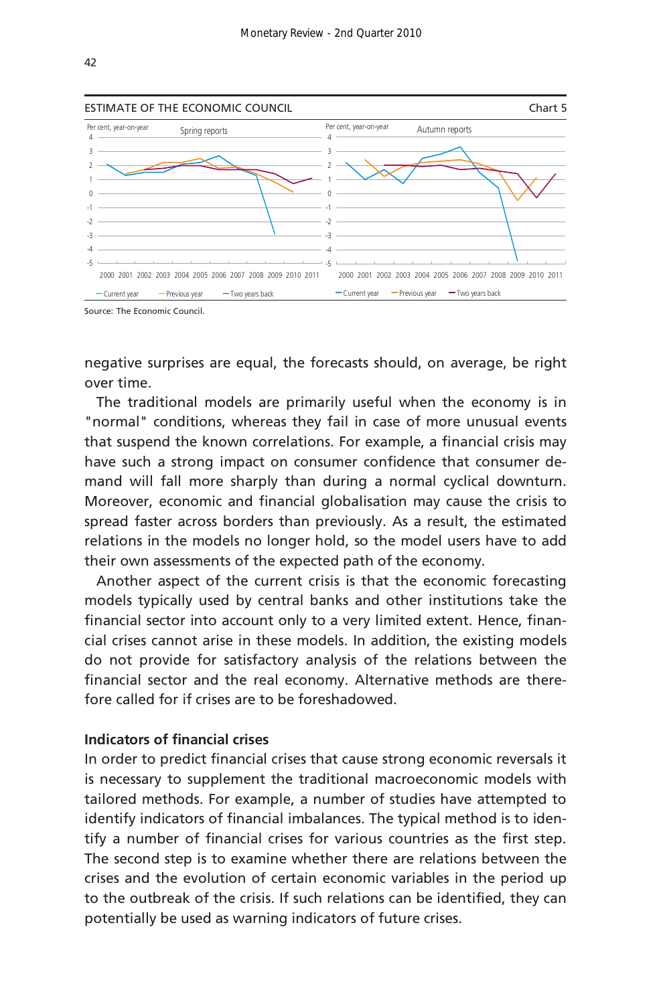

Source: The Economic Council.

negative surprises are equal, the forecasts should, on average, be right over time.

The traditional models are primarily useful when the economy is in "normal" conditions, whereas they fail in case of more unusual events that suspend the known correlations. For example, a financial crisis may have such a strong impact on consumer confidence that consumer demand will fall more sharply than during a normal cyclical downturn. Moreover, economic and financial globalisation may cause the crisis to spread faster across borders than previously. As a result, the estimated relations in the models no longer hold, so the model users have to add their own assessments of the expected path of the economy.

Another aspect of the current crisis is that the economic forecasting models typically used by central banks and other institutions take the financial sector into account only to a very limited extent. Hence, financial crises cannot arise in these models. In addition, the existing models do not provide for satisfactory analysis of the relations between the financial sector and the real economy. Alternative methods are therefore called for if crises are to be foreshadowed.

## **Indicators of financial crises**

In order to predict financial crises that cause strong economic reversals it is necessary to supplement the traditional macroeconomic models with tailored methods. For example, a number of studies have attempted to identify indicators of financial imbalances. The typical method is to identify a number of financial crises for various countries as the first step. The second step is to examine whether there are relations between the crises and the evolution of certain economic variables in the period up to the outbreak of the crisis. If such relations can be identified, they can potentially be used as warning indicators of future crises.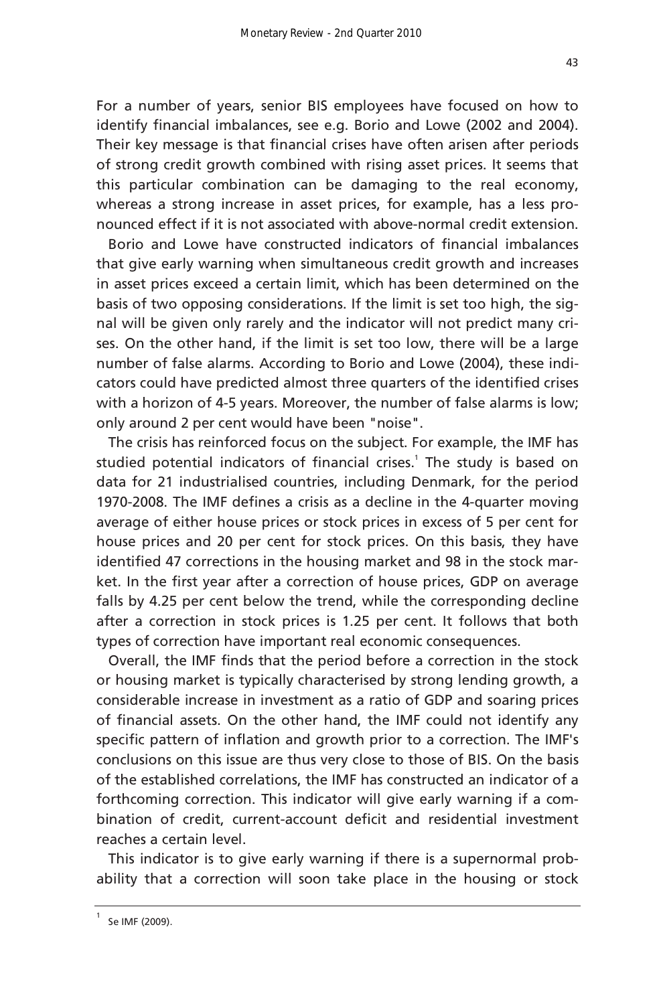For a number of years, senior BIS employees have focused on how to identify financial imbalances, see e.g. Borio and Lowe (2002 and 2004). Their key message is that financial crises have often arisen after periods of strong credit growth combined with rising asset prices. It seems that this particular combination can be damaging to the real economy, whereas a strong increase in asset prices, for example, has a less pronounced effect if it is not associated with above-normal credit extension.

Borio and Lowe have constructed indicators of financial imbalances that give early warning when simultaneous credit growth and increases in asset prices exceed a certain limit, which has been determined on the basis of two opposing considerations. If the limit is set too high, the signal will be given only rarely and the indicator will not predict many crises. On the other hand, if the limit is set too low, there will be a large number of false alarms. According to Borio and Lowe (2004), these indicators could have predicted almost three quarters of the identified crises with a horizon of 4-5 years. Moreover, the number of false alarms is low; only around 2 per cent would have been "noise".

The crisis has reinforced focus on the subject. For example, the IMF has studied potential indicators of financial crises.<sup>1</sup> The study is based on data for 21 industrialised countries, including Denmark, for the period 1970-2008. The IMF defines a crisis as a decline in the 4-quarter moving average of either house prices or stock prices in excess of 5 per cent for house prices and 20 per cent for stock prices. On this basis, they have identified 47 corrections in the housing market and 98 in the stock market. In the first year after a correction of house prices, GDP on average falls by 4.25 per cent below the trend, while the corresponding decline after a correction in stock prices is 1.25 per cent. It follows that both types of correction have important real economic consequences.

Overall, the IMF finds that the period before a correction in the stock or housing market is typically characterised by strong lending growth, a considerable increase in investment as a ratio of GDP and soaring prices of financial assets. On the other hand, the IMF could not identify any specific pattern of inflation and growth prior to a correction. The IMF's conclusions on this issue are thus very close to those of BIS. On the basis of the established correlations, the IMF has constructed an indicator of a forthcoming correction. This indicator will give early warning if a combination of credit, current-account deficit and residential investment reaches a certain level.

This indicator is to give early warning if there is a supernormal probability that a correction will soon take place in the housing or stock

<sup>1</sup> Se IMF (2009).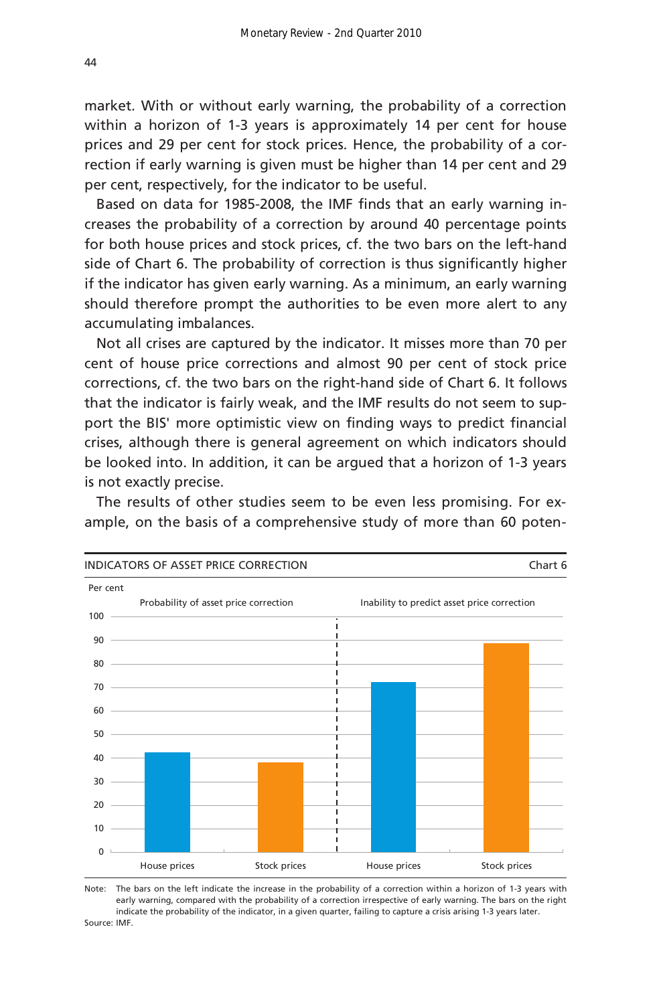within a horizon of 1-3 years is approximately 14 per cent for house prices and 29 per cent for stock prices. Hence, the probability of a correction if early warning is given must be higher than 14 per cent and 29 per cent, respectively, for the indicator to be useful.

Based on data for 1985-2008, the IMF finds that an early warning increases the probability of a correction by around 40 percentage points for both house prices and stock prices, cf. the two bars on the left-hand side of Chart 6. The probability of correction is thus significantly higher if the indicator has given early warning. As a minimum, an early warning should therefore prompt the authorities to be even more alert to any accumulating imbalances.

Not all crises are captured by the indicator. It misses more than 70 per cent of house price corrections and almost 90 per cent of stock price corrections, cf. the two bars on the right-hand side of Chart 6. It follows that the indicator is fairly weak, and the IMF results do not seem to support the BIS' more optimistic view on finding ways to predict financial crises, although there is general agreement on which indicators should be looked into. In addition, it can be argued that a horizon of 1-3 years is not exactly precise.

The results of other studies seem to be even less promising. For example, on the basis of a comprehensive study of more than 60 poten-



Note: The bars on the left indicate the increase in the probability of a correction within a horizon of 1-3 years with Source: IMF. early warning, compared with the probability of a correction irrespective of early warning. The bars on the right indicate the probability of the indicator, in a given quarter, failing to capture a crisis arising 1-3 years later.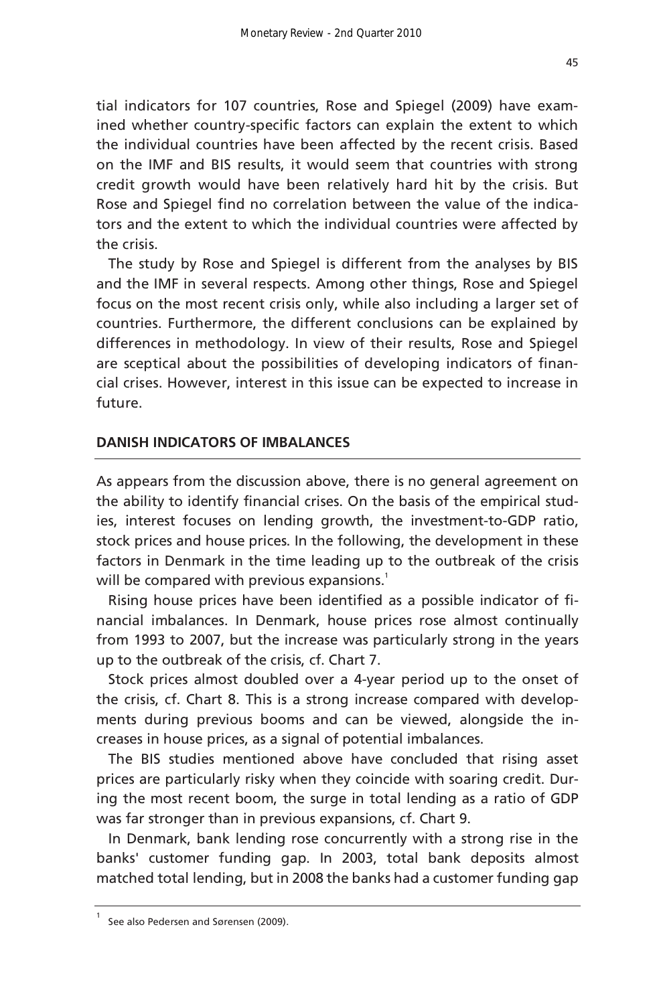tial indicators for 107 countries, Rose and Spiegel (2009) have examined whether country-specific factors can explain the extent to which the individual countries have been affected by the recent crisis. Based on the IMF and BIS results, it would seem that countries with strong credit growth would have been relatively hard hit by the crisis. But Rose and Spiegel find no correlation between the value of the indicators and the extent to which the individual countries were affected by the crisis.

The study by Rose and Spiegel is different from the analyses by BIS and the IMF in several respects. Among other things, Rose and Spiegel focus on the most recent crisis only, while also including a larger set of countries. Furthermore, the different conclusions can be explained by differences in methodology. In view of their results, Rose and Spiegel are sceptical about the possibilities of developing indicators of financial crises. However, interest in this issue can be expected to increase in future.

### **DANISH INDICATORS OF IMBALANCES**

As appears from the discussion above, there is no general agreement on the ability to identify financial crises. On the basis of the empirical studies, interest focuses on lending growth, the investment-to-GDP ratio, stock prices and house prices. In the following, the development in these factors in Denmark in the time leading up to the outbreak of the crisis will be compared with previous expansions.<sup>1</sup>

Rising house prices have been identified as a possible indicator of financial imbalances. In Denmark, house prices rose almost continually from 1993 to 2007, but the increase was particularly strong in the years up to the outbreak of the crisis, cf. Chart 7.

Stock prices almost doubled over a 4-year period up to the onset of the crisis, cf. Chart 8. This is a strong increase compared with developments during previous booms and can be viewed, alongside the increases in house prices, as a signal of potential imbalances.

The BIS studies mentioned above have concluded that rising asset prices are particularly risky when they coincide with soaring credit. During the most recent boom, the surge in total lending as a ratio of GDP was far stronger than in previous expansions, cf. Chart 9.

In Denmark, bank lending rose concurrently with a strong rise in the banks' customer funding gap. In 2003, total bank deposits almost matched total lending, but in 2008 the banks had a customer funding gap

<sup>1</sup> See also Pedersen and Sørensen (2009).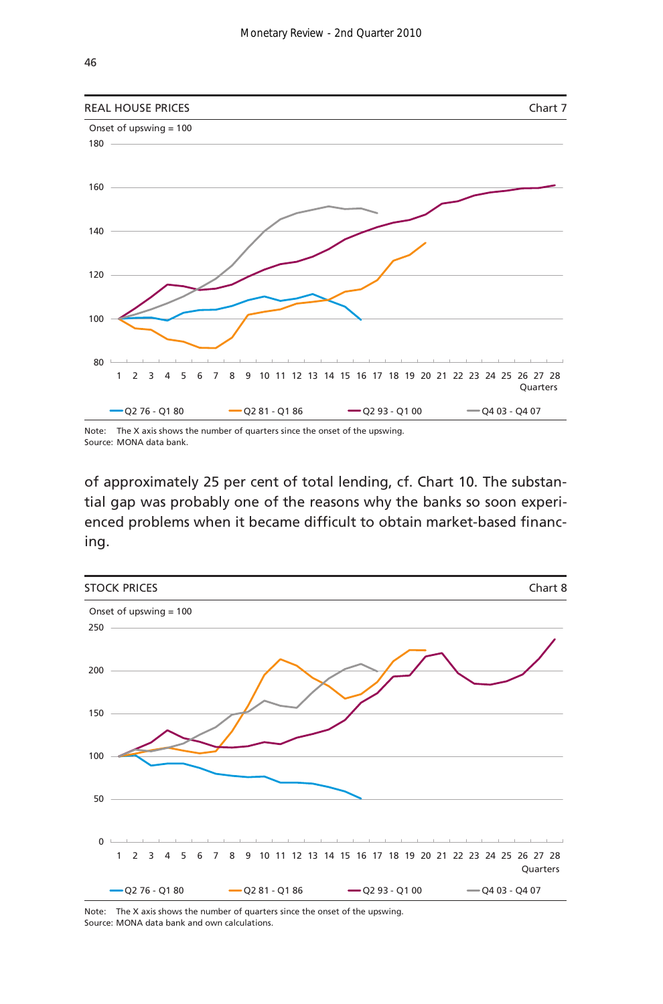

Note: The X axis shows the number of quarters since the onset of the upswing. Source: MONA data bank.

of approximately 25 per cent of total lending, cf. Chart 10. The substantial gap was probably one of the reasons why the banks so soon experienced problems when it became difficult to obtain market-based financing.



Note: The X axis shows the number of quarters since the onset of the upswing. Source: MONA data bank and own calculations.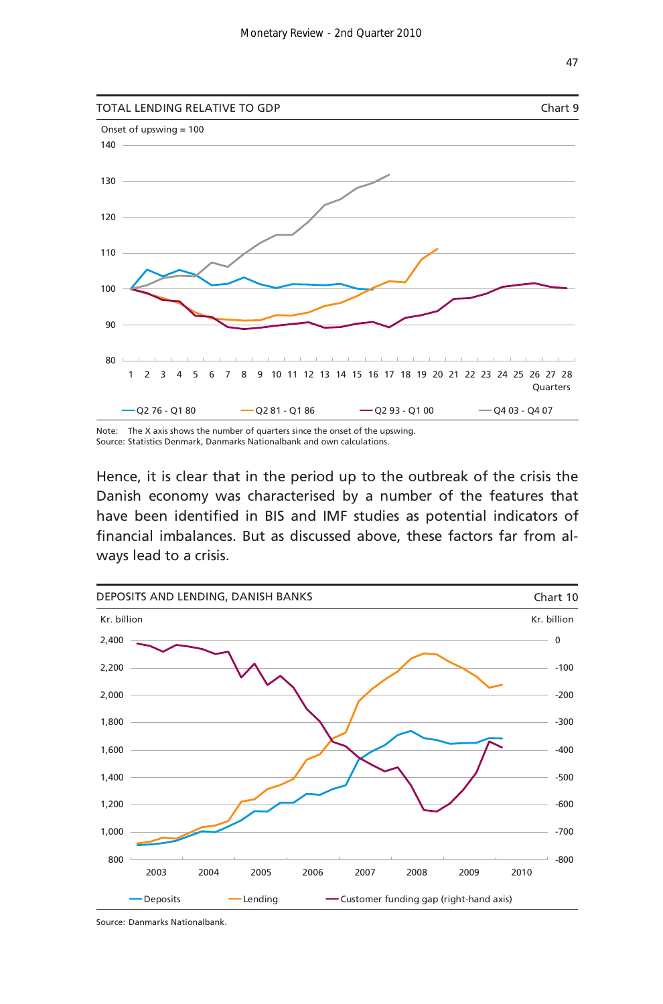

Note: The X axis shows the number of quarters since the onset of the upswing. Source: Statistics Denmark, Danmarks Nationalbank and own calculations.

Hence, it is clear that in the period up to the outbreak of the crisis the Danish economy was characterised by a number of the features that have been identified in BIS and IMF studies as potential indicators of financial imbalances. But as discussed above, these factors far from always lead to a crisis.



Source: Danmarks Nationalbank.